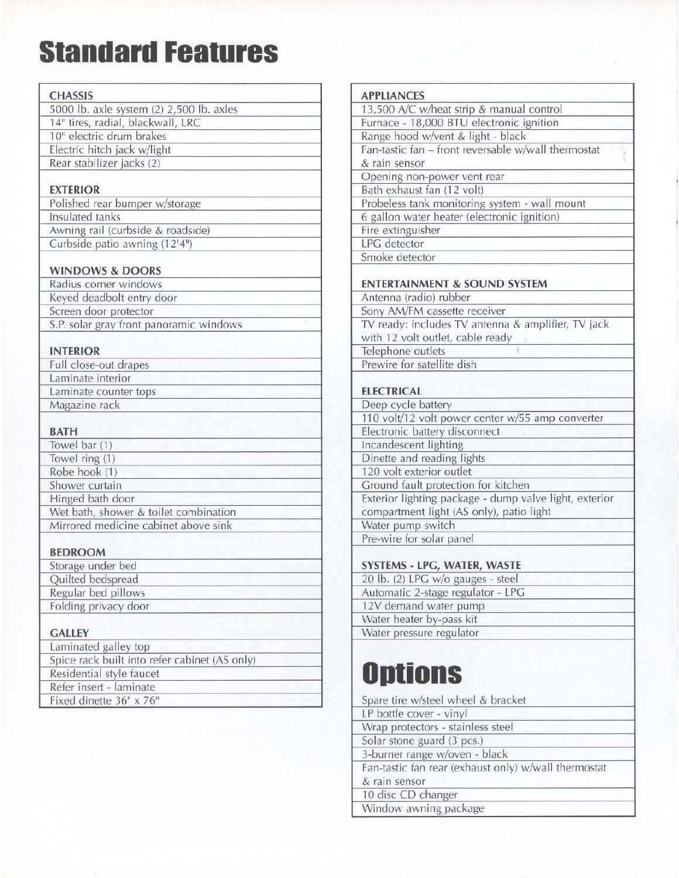## **Standard Features**

| <b>CHASSIS</b>                                                                |  |  |  |  |
|-------------------------------------------------------------------------------|--|--|--|--|
|                                                                               |  |  |  |  |
| 5000 lb. axle system (2) 2,500 lb. axles<br>14" tires, radial, blackwall, LRC |  |  |  |  |
| 10" electric drum brakes                                                      |  |  |  |  |
|                                                                               |  |  |  |  |
| Electric hitch jack w/light<br>Rear stabilizer jacks (2)                      |  |  |  |  |
|                                                                               |  |  |  |  |
| <b>EXTERIOR</b>                                                               |  |  |  |  |
| Polished rear bumper w/storage                                                |  |  |  |  |
| Insulated tanks                                                               |  |  |  |  |
| Awning rail (curbside & roadside)                                             |  |  |  |  |
| Curbside patio awning (12'4")                                                 |  |  |  |  |
|                                                                               |  |  |  |  |
| <b>WINDOWS &amp; DOORS</b>                                                    |  |  |  |  |
| Radius corner windows                                                         |  |  |  |  |
| Keyed deadbolt entry door                                                     |  |  |  |  |
| Screen door protector                                                         |  |  |  |  |
| S.P. solar gray front panoramic windows                                       |  |  |  |  |
|                                                                               |  |  |  |  |
| <b>INTERIOR</b>                                                               |  |  |  |  |
| Full close-out drapes                                                         |  |  |  |  |
| Laminate interior                                                             |  |  |  |  |
| Laminate counter tops                                                         |  |  |  |  |
| Magazine rack                                                                 |  |  |  |  |
|                                                                               |  |  |  |  |
| <b>BATH</b>                                                                   |  |  |  |  |
| Towel bar (1)                                                                 |  |  |  |  |
| Towel ring (1)                                                                |  |  |  |  |
| Robe hook (1)                                                                 |  |  |  |  |
| Shower curtain                                                                |  |  |  |  |
| Hinged bath door                                                              |  |  |  |  |
| Wet bath, shower & toilet combination                                         |  |  |  |  |
| Mirrored medicine cabinet above sink                                          |  |  |  |  |
|                                                                               |  |  |  |  |
| <b>BEDROOM</b>                                                                |  |  |  |  |
| Storage under bed                                                             |  |  |  |  |
| Quilted bedspread                                                             |  |  |  |  |
| Regular bed pillows                                                           |  |  |  |  |
| Folding privacy door                                                          |  |  |  |  |
| <b>GALLEY</b>                                                                 |  |  |  |  |
| Laminated galley top                                                          |  |  |  |  |
| Spice rack built into refer cabinet (AS only)                                 |  |  |  |  |
| Residential style faucet                                                      |  |  |  |  |
| Refer insert - laminate                                                       |  |  |  |  |
| Fixed dinette 36" x 76"                                                       |  |  |  |  |
|                                                                               |  |  |  |  |

| <b>APPLIANCES</b>                                      |  |  |  |  |
|--------------------------------------------------------|--|--|--|--|
| 13,500 A/C w/heat strip & manual control               |  |  |  |  |
| Furnace - 18,000 BTU electronic ignition               |  |  |  |  |
| Range hood w/vent & light - black                      |  |  |  |  |
| Fan-tastic fan - front reversable w/wall thermostat    |  |  |  |  |
| & rain sensor                                          |  |  |  |  |
| Opening non-power vent rear                            |  |  |  |  |
| Bath exhaust fan (12 volt)                             |  |  |  |  |
| Probeless tank monitoring system - wall mount          |  |  |  |  |
| 6 gallon water heater (electronic ignition)            |  |  |  |  |
| Fire extinguisher                                      |  |  |  |  |
| <b>LPG</b> detector                                    |  |  |  |  |
| Smoke detector                                         |  |  |  |  |
|                                                        |  |  |  |  |
| <b>ENTERTAINMENT &amp; SOUND SYSTEM</b>                |  |  |  |  |
| Antenna (radio) rubber                                 |  |  |  |  |
| Sony AM/FM cassette receiver                           |  |  |  |  |
| TV ready: includes TV antenna & amplifier, TV jack     |  |  |  |  |
| with 12 volt outlet, cable ready                       |  |  |  |  |
| Telephone outlets                                      |  |  |  |  |
| Prewire for satellite dish                             |  |  |  |  |
|                                                        |  |  |  |  |
| <b>ELECTRICAL</b>                                      |  |  |  |  |
| Deep cycle battery                                     |  |  |  |  |
| 110 volt/12 volt power center w/55 amp converter       |  |  |  |  |
| Electronic battery disconnect                          |  |  |  |  |
| Incandescent lighting                                  |  |  |  |  |
| Dinette and reading lights                             |  |  |  |  |
| 120 volt exterior outlet                               |  |  |  |  |
| Ground fault protection for kitchen                    |  |  |  |  |
| Exterior lighting package - dump valve light, exterior |  |  |  |  |
| compartment light (AS only), patio light               |  |  |  |  |
| Water pump switch                                      |  |  |  |  |
| Pre-wire for solar panel                               |  |  |  |  |
|                                                        |  |  |  |  |
| SYSTEMS - LPG, WATER, WASTE                            |  |  |  |  |
| 20 lb. (2) LPG w/o gauges - steel                      |  |  |  |  |
| Automatic 2-stage regulator - LPG                      |  |  |  |  |
| 12V demand water pump                                  |  |  |  |  |
| Water heater by-pass kit                               |  |  |  |  |
| Water pressure regulator                               |  |  |  |  |

## **Options**

| Spare tire w/steel wheel & bracket                   |  |
|------------------------------------------------------|--|
| LP bottle cover - vinyl                              |  |
| Wrap protectors - stainless steel                    |  |
| Solar stone guard (3 pcs.)                           |  |
| 3-burner range w/oven - black                        |  |
| Fan-tastic fan rear (exhaust only) w/wall thermostat |  |
| & rain sensor                                        |  |
| 10 disc CD changer                                   |  |
| Window awning package                                |  |